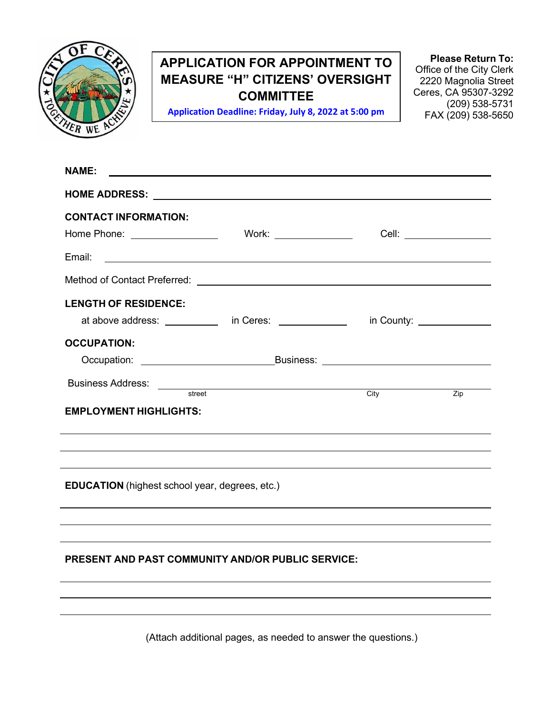

# **APPLICATION FOR APPOINTMENT TO MEASURE "H" CITIZENS' OVERSIGHT COMMITTEE**

**Application Deadline: Friday, July 8, 2022 at 5:00 pm** 

**Please Return To:** Office of the City Clerk 2220 Magnolia Street Ceres, CA 95307-3292 (209) 538-5731 FAX (209) 538-5650

| <b>NAME:</b>                                                                                                                                                                                                                        |  |                         |  |                        |  |  |
|-------------------------------------------------------------------------------------------------------------------------------------------------------------------------------------------------------------------------------------|--|-------------------------|--|------------------------|--|--|
|                                                                                                                                                                                                                                     |  |                         |  |                        |  |  |
| <b>CONTACT INFORMATION:</b>                                                                                                                                                                                                         |  |                         |  |                        |  |  |
| Home Phone: _________________                                                                                                                                                                                                       |  | Work: _________________ |  |                        |  |  |
|                                                                                                                                                                                                                                     |  |                         |  |                        |  |  |
|                                                                                                                                                                                                                                     |  |                         |  |                        |  |  |
| <b>LENGTH OF RESIDENCE:</b>                                                                                                                                                                                                         |  |                         |  |                        |  |  |
| at above address: ____________ in Ceres: ______________ in County: _____________                                                                                                                                                    |  |                         |  |                        |  |  |
| <b>OCCUPATION:</b>                                                                                                                                                                                                                  |  |                         |  |                        |  |  |
|                                                                                                                                                                                                                                     |  |                         |  |                        |  |  |
| Business Address: <u>external street</u> external city of the city of the city of the city of the city of the city of the city of the city of the city of the city of the city of the city of the city of the city of the city of t |  |                         |  | $\frac{1}{\text{Zip}}$ |  |  |
| <b>EMPLOYMENT HIGHLIGHTS:</b>                                                                                                                                                                                                       |  |                         |  |                        |  |  |
|                                                                                                                                                                                                                                     |  |                         |  |                        |  |  |
|                                                                                                                                                                                                                                     |  |                         |  |                        |  |  |
| ,我们也不会有什么。""我们的人,我们也不会有什么?""我们的人,我们也不会有什么?""我们的人,我们也不会有什么?""我们的人,我们也不会有什么?""我们的人                                                                                                                                                    |  |                         |  |                        |  |  |
| <b>EDUCATION</b> (highest school year, degrees, etc.)                                                                                                                                                                               |  |                         |  |                        |  |  |
|                                                                                                                                                                                                                                     |  |                         |  |                        |  |  |
|                                                                                                                                                                                                                                     |  |                         |  |                        |  |  |
|                                                                                                                                                                                                                                     |  |                         |  |                        |  |  |
| PRESENT AND PAST COMMUNITY AND/OR PUBLIC SERVICE:                                                                                                                                                                                   |  |                         |  |                        |  |  |
|                                                                                                                                                                                                                                     |  |                         |  |                        |  |  |
|                                                                                                                                                                                                                                     |  |                         |  |                        |  |  |
|                                                                                                                                                                                                                                     |  |                         |  |                        |  |  |

(Attach additional pages, as needed to answer the questions.)